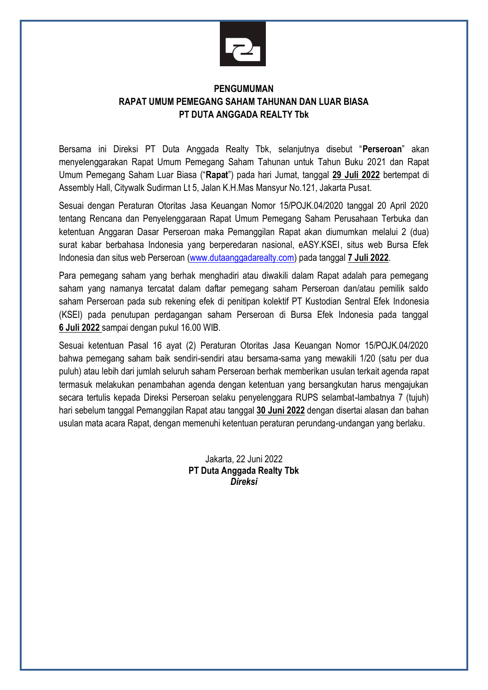

## **PENGUMUMAN RAPAT UMUM PEMEGANG SAHAM TAHUNAN DAN LUAR BIASA PT DUTA ANGGADA REALTY Tbk**

Bersama ini Direksi PT Duta Anggada Realty Tbk, selanjutnya disebut "**Perseroan**" akan menyelenggarakan Rapat Umum Pemegang Saham Tahunan untuk Tahun Buku 2021 dan Rapat Umum Pemegang Saham Luar Biasa ("**Rapat**") pada hari Jumat, tanggal **29 Juli 2022** bertempat di Assembly Hall, Citywalk Sudirman Lt 5, Jalan K.H.Mas Mansyur No.121, Jakarta Pusat.

Sesuai dengan Peraturan Otoritas Jasa Keuangan Nomor 15/POJK.04/2020 tanggal 20 April 2020 tentang Rencana dan Penyelenggaraan Rapat Umum Pemegang Saham Perusahaan Terbuka dan ketentuan Anggaran Dasar Perseroan maka Pemanggilan Rapat akan diumumkan melalui 2 (dua) surat kabar berbahasa Indonesia yang berperedaran nasional, eASY.KSEI, situs web Bursa Efek Indonesia dan situs web Perseroan [\(www.dutaanggadarealty.com\)](http://www.dutaanggadarealty.com/) pada tanggal **7 Juli 2022**.

Para pemegang saham yang berhak menghadiri atau diwakili dalam Rapat adalah para pemegang saham yang namanya tercatat dalam daftar pemegang saham Perseroan dan/atau pemilik saldo saham Perseroan pada sub rekening efek di penitipan kolektif PT Kustodian Sentral Efek Indonesia (KSEI) pada penutupan perdagangan saham Perseroan di Bursa Efek Indonesia pada tanggal **6 Juli 2022** sampai dengan pukul 16.00 WIB.

Sesuai ketentuan Pasal 16 ayat (2) Peraturan Otoritas Jasa Keuangan Nomor 15/POJK.04/2020 bahwa pemegang saham baik sendiri-sendiri atau bersama-sama yang mewakili 1/20 (satu per dua puluh) atau lebih dari jumlah seluruh saham Perseroan berhak memberikan usulan terkait agenda rapat termasuk melakukan penambahan agenda dengan ketentuan yang bersangkutan harus mengajukan secara tertulis kepada Direksi Perseroan selaku penyelenggara RUPS selambat-lambatnya 7 (tujuh) hari sebelum tanggal Pemanggilan Rapat atau tanggal **30 Juni 2022** dengan disertai alasan dan bahan usulan mata acara Rapat, dengan memenuhi ketentuan peraturan perundang-undangan yang berlaku.

> Jakarta, 22 Juni 2022 **PT Duta Anggada Realty Tbk**  *Direksi*